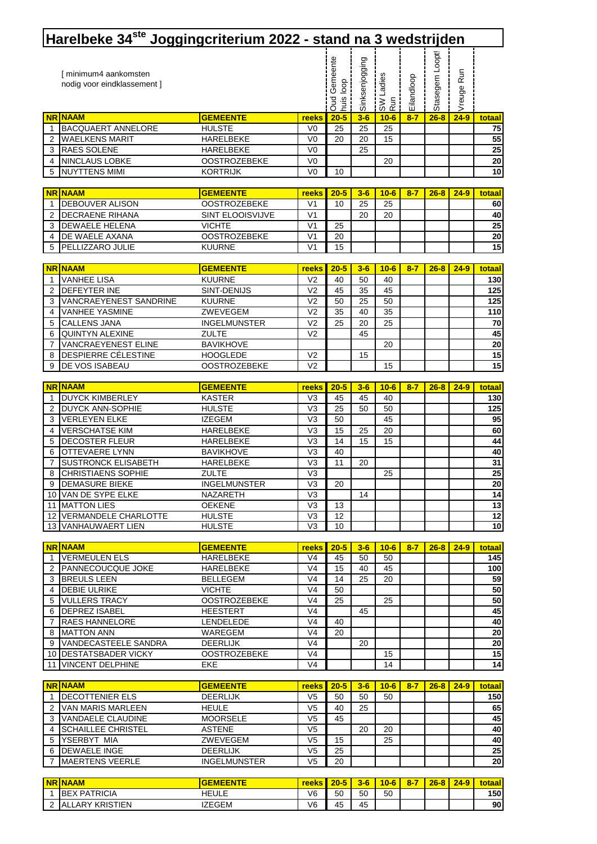|              | Harelbeke 34 <sup>ste</sup> Joggingcriterium 2022 - stand na 3 wedstrijden |                                  |                                  |                                  |                |                       |            |                 |            |                 |
|--------------|----------------------------------------------------------------------------|----------------------------------|----------------------------------|----------------------------------|----------------|-----------------------|------------|-----------------|------------|-----------------|
|              | [ minimum4 aankomsten<br>nodig voor eindklassement ]                       |                                  |                                  | <b>Oud Gemeente</b><br>huis loop | Sinksenjogging | Ladies<br>a<br>a<br>∝ | Eilandloop | Stasegem Loopt! | Vreuge Run |                 |
| <b>NR</b>    | <b>NAAM</b>                                                                | <b>GEMEENTE</b>                  | reeks                            | $20 - 5$                         | $3-6$          | $10-6$                | $8 - 7$    | $26 - 8$        | $24 - 9$   | totaal          |
| 1            | BACQUAERT ANNELORE                                                         | <b>HULSTE</b>                    | V <sub>0</sub>                   | 25                               | 25             | 25                    |            |                 |            | 75              |
| 2            | <b>WAELKENS MARIT</b>                                                      | HARELBEKE                        | V <sub>0</sub>                   | 20                               | 20             | 15                    |            |                 |            | 55              |
| 3            | RAES SOLENE                                                                | HARELBEKE                        | V <sub>0</sub>                   |                                  | 25             |                       |            |                 |            | $\overline{25}$ |
| 4            | <b>NINCLAUS LOBKE</b>                                                      | <b>OOSTROZEBEKE</b>              | V <sub>0</sub>                   |                                  |                | 20                    |            |                 |            | 20              |
| 5            | <b>NUYTTENS MIMI</b>                                                       | <b>KORTRIJK</b>                  | V <sub>0</sub>                   | 10                               |                |                       |            |                 |            | 10              |
|              | <b>NR NAAM</b>                                                             | <b>GEMEENTE</b>                  | reeks                            | $20 - 5$                         | $3-6$          | $10 - 6$              | $8 - 7$    | $26 - 8$        | $24 - 9$   | <b>totaal</b>   |
| -1           | DEBOUVER ALISON                                                            | <b>OOSTROZEBEKE</b>              | V <sub>1</sub>                   | 10                               | 25             | 25                    |            |                 |            | 60              |
| 2            | <b>DECRAENE RIHANA</b>                                                     | SINT ELOOISVIJVE                 | V <sub>1</sub>                   |                                  | 20             | 20                    |            |                 |            | 40              |
| 3            | <b>DEWAELE HELENA</b>                                                      | <b>VICHTE</b>                    | V <sub>1</sub>                   | 25                               |                |                       |            |                 |            | 25              |
| 4            | DE WAELE AXANA                                                             | <b>OOSTROZEBEKE</b>              | V <sub>1</sub>                   | 20                               |                |                       |            |                 |            | 20              |
| 5            | PELLIZZARO JULIE                                                           | <b>KUURNE</b>                    | V <sub>1</sub>                   | 15                               |                |                       |            |                 |            | $\overline{15}$ |
|              | <b>NR NAAM</b>                                                             | <b>GEMEENTE</b>                  | reeks                            | $20 - 5$                         | $3-6$          | $10 - 6$              | $8 - 7$    | $26 - 8$        | $24 - 9$   | totaal          |
| 1            | <b>VANHEE LISA</b>                                                         | <b>KUURNE</b>                    | V <sub>2</sub>                   | 40                               | 50             | 40                    |            |                 |            | 130             |
| 2            | DEFEYTER INE                                                               | SINT-DENIJS                      | V <sub>2</sub>                   | 45                               | 35             | 45                    |            |                 |            | 125             |
| 3            | VANCRAEYENEST SANDRINE                                                     | <b>KUURNE</b>                    | V <sub>2</sub>                   | 50                               | 25             | 50                    |            |                 |            | 125             |
| 4            | <b>VANHEE YASMINE</b>                                                      | ZWEVEGEM                         | V <sub>2</sub>                   | 35                               | 40             | 35                    |            |                 |            | 110             |
| 5            | CALLENS JANA                                                               | <b>INGELMUNSTER</b>              | V <sub>2</sub>                   | 25                               | 20             | 25                    |            |                 |            | 70              |
| 6            | QUINTYN ALEXINE                                                            | ZULTE                            | V <sub>2</sub>                   |                                  | 45             |                       |            |                 |            | 45              |
| 7            | VANCRAEYENEST ELINE                                                        | <b>BAVIKHOVE</b>                 |                                  |                                  |                | 20                    |            |                 |            | ${\bf 20}$      |
| 8            | DESPIERRE CÉLESTINE                                                        | <b>HOOGLEDE</b>                  | V <sub>2</sub>                   |                                  | 15             |                       |            |                 |            | 15<br>15        |
| 9            | DE VOS ISABEAU                                                             | <b>OOSTROZEBEKE</b>              | V <sub>2</sub>                   |                                  |                | 15                    |            |                 |            |                 |
|              | <b>NR NAAM</b>                                                             | <b>GEMEENTE</b>                  | reeks                            | $20 - 5$                         | $3-6$          | $10 - 6$              | $8 - 7$    | $26 - 8$        | $24 - 9$   | totaal          |
| -1           | <b>DUYCK KIMBERLEY</b>                                                     | <b>KASTER</b>                    | V <sub>3</sub>                   | 45                               | 45             | 40                    |            |                 |            | 130             |
| 2            | DUYCK ANN-SOPHIE                                                           | <b>HULSTE</b>                    | V <sub>3</sub>                   | 25                               | 50             | 50                    |            |                 |            | 125             |
| 3            | <b>VERLEYEN ELKE</b>                                                       | <b>IZEGEM</b>                    | V <sub>3</sub>                   | 50                               |                | 45                    |            |                 |            | 95              |
| 4            | <b>VERSCHATSE KIM</b>                                                      | HARELBEKE                        | V <sub>3</sub>                   | 15                               | 25             | 20                    |            |                 |            | 60              |
| 5            | DECOSTER FLEUR                                                             | HARELBEKE                        | V <sub>3</sub>                   | 14                               | 15             | 15                    |            |                 |            | 44              |
| 6<br>7       | OTTEVAERE LYNN<br><b>SUSTRONCK ELISABETH</b>                               | <b>BAVIKHOVE</b><br>HARELBEKE    | V <sub>3</sub><br>V <sub>3</sub> | 40<br>11                         | 20             |                       |            |                 |            | 40<br>31        |
| 8            | <b>CHRISTIAENS SOPHIE</b>                                                  | <b>ZULTE</b>                     | V <sub>3</sub>                   |                                  |                | 25                    |            |                 |            | 25              |
| 9            | <b>DEMASURE BIEKE</b>                                                      | <b>INGELMUNSTER</b>              | V3                               | 20                               |                |                       |            |                 |            | $\overline{20}$ |
|              | 10 VAN DE SYPE ELKE                                                        | NAZARETH                         | V3                               |                                  | 14             |                       |            |                 |            | 14              |
|              | <b>11 IMATTON LIES</b>                                                     | <b>OEKENE</b>                    | V <sub>3</sub>                   | 13                               |                |                       |            |                 |            | 13              |
|              | 12 VERMANDELE CHARLOTTE                                                    | <b>HULSTE</b>                    | V <sub>3</sub>                   | 12                               |                |                       |            |                 |            | 12              |
|              | 13 VANHAUWAERT LIEN                                                        | <b>HULSTE</b>                    | V <sub>3</sub>                   | 10                               |                |                       |            |                 |            | 10 <sup>1</sup> |
|              | <b>NR NAAM</b>                                                             | <b>GEMEENTE</b>                  | reeks                            | $20 - 5$                         | $3-6$          | $10 - 6$              | $8 - 7$    | $26 - 8$        | $24 - 9$   | totaal          |
| 1            | <b>VERMEULEN ELS</b>                                                       | HARELBEKE                        | V <sub>4</sub>                   | 45                               | 50             | 50                    |            |                 |            | 145             |
| 2            | <b>PANNECOUCQUE JOKE</b>                                                   | HARELBEKE                        | V <sub>4</sub>                   | 15                               | 40             | 45                    |            |                 |            | 100             |
| 3            | <b>BREULS LEEN</b>                                                         | <b>BELLEGEM</b>                  | V <sub>4</sub>                   | 14                               | 25             | 20                    |            |                 |            | 59              |
| 4            | <b>DEBIE ULRIKE</b>                                                        | <b>VICHTE</b>                    | V <sub>4</sub>                   | 50                               |                |                       |            |                 |            | 50              |
| 5            | <b>VULLERS TRACY</b>                                                       | <b>OOSTROZEBEKE</b>              | V <sub>4</sub>                   | 25                               |                | 25                    |            |                 |            | 50              |
| 6            | <b>DEPREZ ISABEL</b>                                                       | <b>HEESTERT</b>                  | V <sub>4</sub>                   |                                  | 45             |                       |            |                 |            | 45              |
| 7            | RAES HANNELORE<br><b>MATTON ANN</b>                                        | LENDELEDE                        | V <sub>4</sub><br>V <sub>4</sub> | 40<br>20                         |                |                       |            |                 |            | 40<br>20        |
| 8<br>9       | VANDECASTEELE SANDRA                                                       | WAREGEM<br><b>DEERLIJK</b>       | V <sub>4</sub>                   |                                  | 20             |                       |            |                 |            | $\overline{20}$ |
| 10           | <b>DESTATSBADER VICKY</b>                                                  | <b>OOSTROZEBEKE</b>              | V <sub>4</sub>                   |                                  |                | 15                    |            |                 |            | 15              |
| 11           | <b>VINCENT DELPHINE</b>                                                    | EKE                              | V <sub>4</sub>                   |                                  |                | 14                    |            |                 |            | 14              |
|              |                                                                            |                                  |                                  |                                  |                |                       |            |                 |            |                 |
|              | <b>NR NAAM</b>                                                             | <b>GEMEENTE</b>                  | reeks                            | $20 - 5$                         | $3-6$          | $10 - 6$              | $8 - 7$    | $26 - 8$        | $24 - 9$   | totaal          |
| $\mathbf{1}$ | <b>DECOTTENIER ELS</b>                                                     | <b>DEERLIJK</b>                  | V <sub>5</sub>                   | 50                               | 50             | 50                    |            |                 |            | 150             |
| 2            | VAN MARIS MARLEEN<br><b>VANDAELE CLAUDINE</b>                              | <b>HEULE</b>                     | V <sub>5</sub><br>V <sub>5</sub> | 40                               | 25             |                       |            |                 |            | 65              |
| 3<br>4       | <b>SCHAILLEE CHRISTEL</b>                                                  | <b>MOORSELE</b><br><b>ASTENE</b> | V <sub>5</sub>                   | 45                               | 20             | 20                    |            |                 |            | 45<br>40        |
| 5            | YSERBYT MIA                                                                | ZWEVEGEM                         | V <sub>5</sub>                   | 15                               |                | 25                    |            |                 |            | 40              |
| 6            | <b>DEWAELE INGE</b>                                                        | <b>DEERLIJK</b>                  | V <sub>5</sub>                   | 25                               |                |                       |            |                 |            | 25              |
| 7            | <b>MAERTENS VEERLE</b>                                                     | <b>INGELMUNSTER</b>              | V <sub>5</sub>                   | 20                               |                |                       |            |                 |            | 20              |
|              |                                                                            |                                  |                                  |                                  |                |                       |            |                 |            |                 |

| <b>NR NAAM</b>               | <b>GEMEENTE</b> | <b>reeks</b> I | $20 - 5$<br><b>COLLEGE</b> | $3-6$ | $10 - 6$ | $8 - 7$ | $26 - 8$ | $24 - 9$ | totaal |
|------------------------------|-----------------|----------------|----------------------------|-------|----------|---------|----------|----------|--------|
| <b>BEX PATRICIA</b>          | <b>HEULE</b>    | V6             | 50                         | 50    | 50       |         |          |          | 150    |
| LLARY KRISTIEN<br><b>IAL</b> | <b>IZEGEM</b>   | V6             | 45                         | 45    |          |         |          |          | 90     |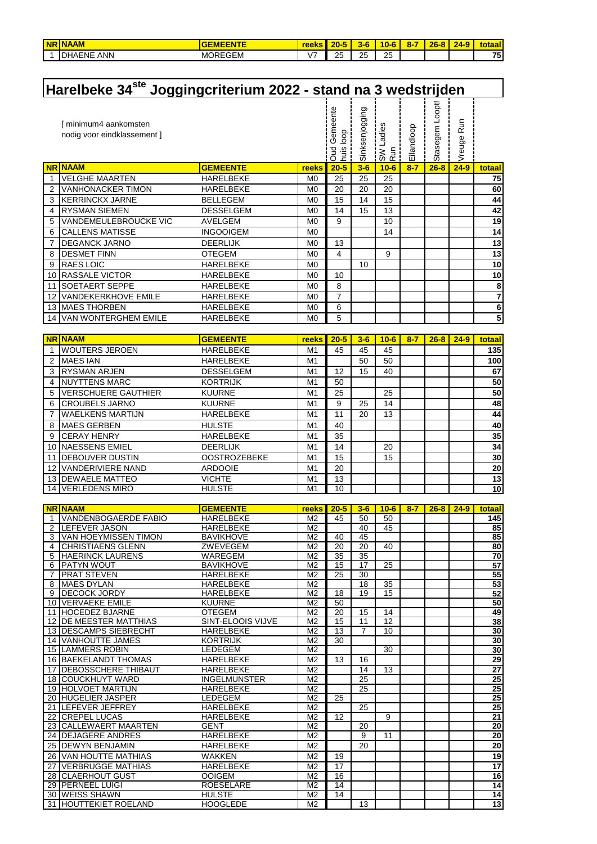| <b>NR</b> | <b>INAAM</b>               | -----<br>. .   | reek                     | <b>nn</b><br>zv- | $\overline{\phantom{a}}$<br>. . | $10 - 6$<br>$\overline{\phantom{a}}$<br>. . | $8-$ | $26 -$<br>$\bullet$ | $24 - 9$ | <u>unitotal</u><br>aar |
|-----------|----------------------------|----------------|--------------------------|------------------|---------------------------------|---------------------------------------------|------|---------------------|----------|------------------------|
|           | <b>ANN</b><br>IDH<br>HAENE | <b>MOREGEM</b> | $\overline{\phantom{0}}$ | っに<br>-          | OE                              | っに<br>∠                                     |      |                     |          | 75                     |

|                | Harelbeke 34 <sup>ste</sup> Joggingcriterium 2022 - stand na 3 wedstrijden |                  |                |                                        |                |                                          |            |                |                 |                 |
|----------------|----------------------------------------------------------------------------|------------------|----------------|----------------------------------------|----------------|------------------------------------------|------------|----------------|-----------------|-----------------|
|                | [ minimum4 aankomsten<br>nodig voor eindklassement ]                       |                  |                | Gemeente<br><b>Sool</b><br>huis<br>Dud | Sinksenjogging | Ladies<br>Run<br>$\mathbb{S}^\mathsf{W}$ | Eilandloop | Stasegem Loopt | Run<br>Vreuge I |                 |
|                | <b>NR NAAM</b>                                                             | <b>GEMEENTE</b>  | reeks          | $20 - 5$                               | $3-6$          | $10 - 6$                                 | $8 - 7$    | $26 - 8$       | $24 - 9$        | totaal          |
| $\mathbf 1$    | <b>VELGHE MAARTEN</b>                                                      | <b>HARELBEKE</b> | M <sub>0</sub> | 25                                     | 25             | 25                                       |            |                |                 | 75              |
| 2              | <b>VANHONACKER TIMON</b>                                                   | <b>HARELBEKE</b> | M <sub>0</sub> | 20                                     | 20             | 20                                       |            |                |                 | 60              |
| 3              | <b>KERRINCKX JARNE</b>                                                     | <b>BELLEGEM</b>  | M <sub>0</sub> | 15                                     | 14             | 15                                       |            |                |                 | 44              |
| 4              | <b>RYSMAN SIEMEN</b>                                                       | <b>DESSELGEM</b> | M <sub>0</sub> | 14                                     | 15             | 13                                       |            |                |                 | 42              |
| 5              | <b>VANDEMEULEBROUCKE VIC</b>                                               | <b>AVELGEM</b>   | M <sub>0</sub> | 9                                      |                | 10                                       |            |                |                 | 19              |
| 6              | <b>CALLENS MATISSE</b>                                                     | <b>INGOOIGEM</b> | M <sub>0</sub> |                                        |                | 14                                       |            |                |                 | 14              |
| 7              | <b>DEGANCK JARNO</b>                                                       | <b>DEERLIJK</b>  | M <sub>0</sub> | 13                                     |                |                                          |            |                |                 | 13              |
| 8              | <b>DESMET FINN</b>                                                         | <b>OTEGEM</b>    | M <sub>0</sub> | 4                                      |                | 9                                        |            |                |                 | 13              |
| 9              | <b>RAES LOIC</b>                                                           | <b>HARELBEKE</b> | M <sub>0</sub> |                                        | 10             |                                          |            |                |                 | 10              |
| 10             | <b>RASSALE VICTOR</b>                                                      | <b>HARELBEKE</b> | M <sub>0</sub> | 10                                     |                |                                          |            |                |                 | 10              |
| 11             | <b>SOETAERT SEPPE</b>                                                      | <b>HARELBEKE</b> | M <sub>0</sub> | 8                                      |                |                                          |            |                |                 | 8               |
| 12             | <b>VANDEKERKHOVE EMILE</b>                                                 | <b>HARELBEKE</b> | M <sub>0</sub> | $\overline{7}$                         |                |                                          |            |                |                 | $\overline{7}$  |
| 13             | <b>MAES THORBEN</b>                                                        | <b>HARELBEKE</b> | M <sub>0</sub> | 6                                      |                |                                          |            |                |                 | $6\overline{6}$ |
| 14             | <b>VAN WONTERGHEM EMILE</b>                                                | <b>HARELBEKE</b> | M <sub>0</sub> | 5                                      |                |                                          |            |                |                 | 5               |
|                |                                                                            |                  |                |                                        |                |                                          |            |                |                 |                 |
|                | <b>NR NAAM</b>                                                             | <b>GEMEENTE</b>  | reeks          | $20 - 5$                               | $3-6$          | $10 - 6$                                 | $8 - 7$    | $26 - 8$       | $24 - 9$        | totaal          |
|                | <b>WOUTERS JEROEN</b>                                                      | <b>HARELBEKE</b> | M1             | 45                                     | 45             | 45                                       |            |                |                 | 135             |
| 2              | <b>MAES IAN</b>                                                            | <b>HARELBEKE</b> | M <sub>1</sub> |                                        | 50             | 50                                       |            |                |                 | 100             |
| 3              | <b>RYSMAN ARJEN</b>                                                        | <b>DESSELGEM</b> | M <sub>1</sub> | 12                                     | 15             | 40                                       |            |                |                 | 67              |
| 4              | <b>NUYTTENS MARC</b>                                                       | <b>KORTRIJK</b>  | M <sub>1</sub> | 50                                     |                |                                          |            |                |                 | 50              |
| 5              | <b>VERSCHUERE GAUTHIER</b>                                                 | <b>KUURNE</b>    | M <sub>1</sub> | 25                                     |                | 25                                       |            |                |                 | 50              |
| 6              | <b>CROUBELS JARNO</b>                                                      | <b>KUURNE</b>    | M <sub>1</sub> | 9                                      | 25             | 14                                       |            |                |                 | 48              |
| $\overline{7}$ | <b>MAELKENS MARTLIN</b>                                                    | HAREI REKE       | <b>M11</b>     | 11                                     | 20             | 13                                       |            |                |                 | 44              |

|   | <b>IWAELKENS MARTIJN</b>   | HARELBEKE           | M1             | 44 | 20 | 13 |  | 44 |
|---|----------------------------|---------------------|----------------|----|----|----|--|----|
| 8 | <b>IMAES GERBEN</b>        | <b>HULSTE</b>       | M <sub>1</sub> | 40 |    |    |  | 40 |
| 9 | <b>ICERAY HENRY</b>        | HARELBEKE           | M <sub>1</sub> | 35 |    |    |  | 35 |
|   | 10 <b>INAESSENS EMIEL</b>  | <b>DEERLIJK</b>     | M1             | 14 |    | 20 |  | 34 |
|   | <b>11 IDEBOUVER DUSTIN</b> | <b>OOSTROZEBEKE</b> | M1             | 15 |    | 15 |  | 30 |
|   | 12 VANDERIVIERE NAND       | <b>ARDOOIE</b>      | M <sub>1</sub> | 20 |    |    |  | 20 |
|   | <b>13 IDEWAELE MATTEO</b>  | VICHTE              | M <sub>1</sub> | 13 |    |    |  | 13 |
|   | 14 VERLEDENS MIRO          | <b>HULSTE</b>       | M1             | 10 |    |    |  | 10 |

|                | <b>NR NAAM</b>                 | <b>GEMEENTE</b>     | <b>reeks</b>   | $20 - 5$        | $3-6$           | $10 - 6$        | $8 - 7$ | $26 - 8$ | $24 - 9$ | totaal          |
|----------------|--------------------------------|---------------------|----------------|-----------------|-----------------|-----------------|---------|----------|----------|-----------------|
|                | VANDENBOGAERDE FABIO           | <b>HARELBEKE</b>    | M <sub>2</sub> | 45              | 50              | 50              |         |          |          | 145             |
| 2              | <b>ILEFEVER JASON</b>          | <b>HARELBEKE</b>    | M <sub>2</sub> |                 | 40              | 45              |         |          |          | 85              |
| 3              | <b>VAN HOEYMISSEN TIMON</b>    | <b>BAVIKHOVE</b>    | M <sub>2</sub> | 40              | 45              |                 |         |          |          | 85              |
| 4              | <b>CHRISTIAENS GLENN</b>       | ZWEVEGEM            | M <sub>2</sub> | 20              | 20              | 40              |         |          |          | 80              |
| 5              | <b>I</b> HAERINCK LAURENS      | WAREGEM             | M <sub>2</sub> | 35              | 35              |                 |         |          |          | 70              |
| 6              | <b>PATYN WOUT</b>              | <b>BAVIKHOVE</b>    | M <sub>2</sub> | 15              | $\overline{17}$ | $\overline{25}$ |         |          |          | 57              |
| $\overline{7}$ | <b>PRAT STEVEN</b>             | <b>HARELBEKE</b>    | M <sub>2</sub> | 25              | 30              |                 |         |          |          | 55              |
| 8              | <b>MAES DYLAN</b>              | <b>HARELBEKE</b>    | M <sub>2</sub> |                 | 18              | $\overline{35}$ |         |          |          | 53              |
|                | 9 DECOCK JORDY                 | <b>HARELBEKE</b>    | M <sub>2</sub> | 18              | 19              | 15              |         |          |          | 52              |
|                | 10 VERVAEKE EMILE              | <b>KUURNE</b>       | M <sub>2</sub> | 50              |                 |                 |         |          |          | 50              |
|                | 11 HOCEDEZ BJARNE              | <b>OTEGEM</b>       | M <sub>2</sub> | 20              | 15              | 14              |         |          |          | 49              |
|                | <b>12 DE MEESTER MATTHIAS</b>  | SINT-ELOOIS VIJVE   | M <sub>2</sub> | 15              | 11              | $\overline{12}$ |         |          |          | 38              |
|                | <b>13 IDESCAMPS SIEBRECHT</b>  | <b>HARELBEKE</b>    | M <sub>2</sub> | 13              | $\overline{7}$  | 10              |         |          |          | 30              |
|                | 14 VANHOUTTE JAMES             | <b>KORTRIJK</b>     | M <sub>2</sub> | 30              |                 |                 |         |          |          | 30              |
|                | <b>15 ILAMMERS ROBIN</b>       | <b>LEDEGEM</b>      | M <sub>2</sub> |                 |                 | 30              |         |          |          | 30              |
|                | <b>16 BAEKELANDT THOMAS</b>    | <b>HARELBEKE</b>    | M <sub>2</sub> | 13              | 16              |                 |         |          |          | 29              |
|                | 17 <b>IDEBOSSCHERE THIBAUT</b> | <b>HARELBEKE</b>    | M <sub>2</sub> |                 | 14              | 13              |         |          |          | 27              |
|                | <b>18 ICOUCKHUYT WARD</b>      | <b>INGELMUNSTER</b> | M <sub>2</sub> |                 | 25              |                 |         |          |          | 25              |
|                | <b>19 HOLVOET MARTIJN</b>      | <b>HARELBEKE</b>    | M <sub>2</sub> |                 | 25              |                 |         |          |          | 25              |
|                | 20 HUGELIER JASPER             | <b>LEDEGEM</b>      | M <sub>2</sub> | 25              |                 |                 |         |          |          | 25              |
|                | 21 ILEFEVER JEFFREY            | <b>HARELBEKE</b>    | M <sub>2</sub> |                 | 25              |                 |         |          |          | 25              |
|                | 22 CREPEL LUCAS                | <b>HARELBEKE</b>    | M <sub>2</sub> | 12              |                 | 9               |         |          |          | 21              |
|                | 23 CALLEWAERT MAARTEN          | <b>GENT</b>         | M <sub>2</sub> |                 | 20              |                 |         |          |          | 20              |
|                | 24 DEJAGERE ANDRES             | <b>HARELBEKE</b>    | M <sub>2</sub> |                 | $\overline{9}$  | $\overline{11}$ |         |          |          | 20              |
|                | 25 IDEWYN BENJAMIN             | <b>HARELBEKE</b>    | M <sub>2</sub> |                 | 20              |                 |         |          |          | 20              |
|                | 26 VAN HOUTTE MATHIAS          | <b>WAKKEN</b>       | M <sub>2</sub> | 19              |                 |                 |         |          |          | 19              |
| 27             | <b>VERBRUGGE MATHIAS</b>       | <b>HARELBEKE</b>    | M <sub>2</sub> | $\overline{17}$ |                 |                 |         |          |          | $\overline{17}$ |
|                | 28 CLAERHOUT GUST              | <b>OOIGEM</b>       | M <sub>2</sub> | 16              |                 |                 |         |          |          | 16              |
|                | 29 PERNEEL LUIGI               | <b>ROESELARE</b>    | M <sub>2</sub> | 14              |                 |                 |         |          |          | 14              |
|                | 30 WEISS SHAWN                 | <b>HULSTE</b>       | M <sub>2</sub> | 14              |                 |                 |         |          |          | 14              |
| 31             | <b>HOUTTEKIET ROELAND</b>      | <b>HOOGLEDE</b>     | M <sub>2</sub> |                 | 13              |                 |         |          |          | $\overline{13}$ |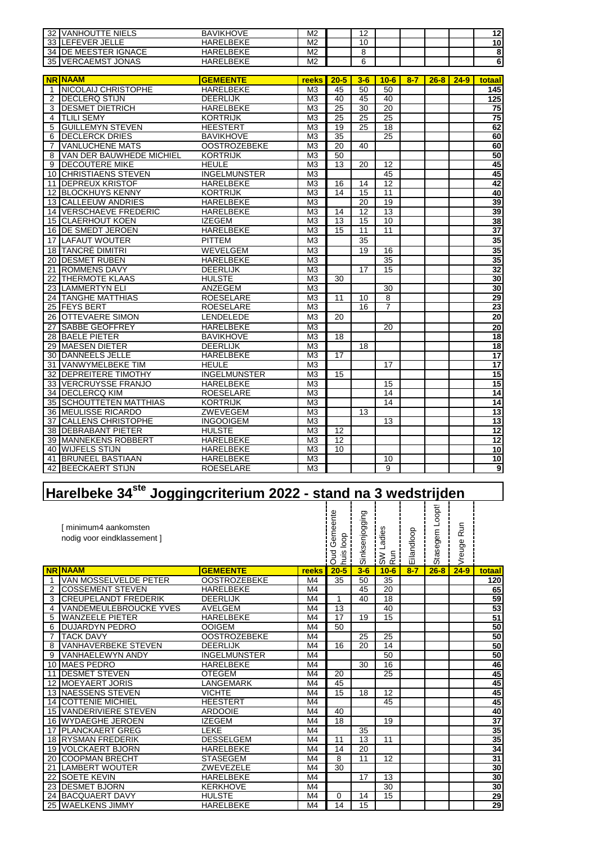|                 | 32 VANHOUTTE NIELS          | <b>BAVIKHOVE</b>    | M <sub>2</sub>  |                 | 12              |                 |         |          |          | 12                      |
|-----------------|-----------------------------|---------------------|-----------------|-----------------|-----------------|-----------------|---------|----------|----------|-------------------------|
| 33              | <b>LEFEVER JELLE</b>        | <b>HARELBEKE</b>    | M <sub>2</sub>  |                 | 10              |                 |         |          |          | 10                      |
|                 | 34 DE MEESTER IGNACE        | <b>HARELBEKE</b>    | M <sub>2</sub>  |                 | $\overline{8}$  |                 |         |          |          | $\overline{\mathbf{8}}$ |
|                 | <b>35 VERCAEMST JONAS</b>   | <b>HARELBEKE</b>    | M <sub>2</sub>  |                 | 6               |                 |         |          |          | $\overline{6}$          |
|                 |                             |                     |                 |                 |                 |                 |         |          |          |                         |
|                 | <b>NR NAAM</b>              | <b>GEMEENTE</b>     | reeks           | $20 - 5$        | $3-6$           | $10 - 6$        | $8 - 7$ | $26 - 8$ | $24 - 9$ | totaal                  |
| 1               | <b>NICOLAIJ CHRISTOPHE</b>  | <b>HARELBEKE</b>    | M <sub>3</sub>  | 45              | 50              | 50              |         |          |          | 145                     |
| 2               | <b>DECLERQ STIJN</b>        | <b>DEERLIJK</b>     | M3              | 40              | 45              | 40              |         |          |          | 125                     |
| 3               | <b>DESMET DIETRICH</b>      | <b>HARELBEKE</b>    | $\overline{M3}$ | $\overline{25}$ | 30              | $\overline{20}$ |         |          |          | $\overline{75}$         |
| 4               | <b>TLILI SEMY</b>           | <b>KORTRIJK</b>     | M <sub>3</sub>  | 25              | 25              | 25              |         |          |          | 75                      |
| 5               | <b>GUILLEMYN STEVEN</b>     | <b>HEESTERT</b>     | M <sub>3</sub>  | 19              | 25              | 18              |         |          |          | 62                      |
| 6               | <b>DECLERCK DRIES</b>       | <b>BAVIKHOVE</b>    | M <sub>3</sub>  | $\overline{35}$ |                 | 25              |         |          |          | 60                      |
| 7               | <b>VANLUCHENE MATS</b>      | <b>OOSTROZEBEKE</b> | M <sub>3</sub>  | $\overline{20}$ | 40              |                 |         |          |          | 60                      |
| 8               | VAN DER BAUWHEDE MICHIEL    | <b>KORTRIJK</b>     | M <sub>3</sub>  | 50              |                 |                 |         |          |          | 50                      |
| 9               | <b>DECOUTERE MIKE</b>       | <b>HEULE</b>        | M <sub>3</sub>  | 13              | 20              | 12              |         |          |          | 45                      |
| 10              | <b>CHRISTIAENS STEVEN</b>   | <b>INGELMUNSTER</b> | M <sub>3</sub>  |                 |                 | 45              |         |          |          | 45                      |
| 11              | <b>DEPREUX KRISTOF</b>      | <b>HARELBEKE</b>    | M <sub>3</sub>  | 16              | 14              | $\overline{12}$ |         |          |          | 42                      |
| 12              | <b>BLOCKHUYS KENNY</b>      | <b>KORTRIJK</b>     | $\overline{M3}$ | $\overline{14}$ | $\overline{15}$ | 11              |         |          |          | 40                      |
| 13              | <b>CALLEEUW ANDRIES</b>     | HARELBEKE           | M <sub>3</sub>  |                 | $\overline{20}$ | $\overline{19}$ |         |          |          | 39                      |
| 14              | <b>VERSCHAEVE FREDERIC</b>  | <b>HARELBEKE</b>    | M <sub>3</sub>  | 14              | 12              | 13              |         |          |          | 39                      |
| 15              | <b>CLAERHOUT KOEN</b>       | <b>IZEGEM</b>       | M <sub>3</sub>  | 13              | 15              | 10              |         |          |          | $\frac{38}{37}$         |
| 16              | DE SMEDT JEROEN             | <b>HARELBEKE</b>    | M <sub>3</sub>  | 15              | 11              | 11              |         |          |          |                         |
| 17              | <b>LAFAUT WOUTER</b>        | <b>PITTEM</b>       | M <sub>3</sub>  |                 | $\overline{35}$ |                 |         |          |          | 35                      |
| 18              | <b>TANCRÉ DIMITRI</b>       | <b>WEVELGEM</b>     | M <sub>3</sub>  |                 | 19              | 16              |         |          |          | $\frac{35}{32}$         |
| $\overline{20}$ | <b>DESMET RUBEN</b>         | <b>HARELBEKE</b>    | M <sub>3</sub>  |                 |                 | 35              |         |          |          |                         |
|                 | 21 ROMMENS DAVY             | <b>DEERLIJK</b>     | M <sub>3</sub>  |                 | 17              | 15              |         |          |          |                         |
| 22              | <b>THERMOTE KLAAS</b>       | <b>HULSTE</b>       | M <sub>3</sub>  | 30              |                 |                 |         |          |          | $\frac{30}{30}$         |
| 23              | <b>LAMMERTYN ELI</b>        | ANZEGEM             | M <sub>3</sub>  |                 |                 | 30              |         |          |          |                         |
| 24              | <b>TANGHE MATTHIAS</b>      | <b>ROESELARE</b>    | M <sub>3</sub>  | 11              | 10              | $\overline{8}$  |         |          |          | 29                      |
| 25              | <b>FEYS BERT</b>            | <b>ROESELARE</b>    | M <sub>3</sub>  |                 | 16              | 7               |         |          |          | $\overline{23}$         |
| 26              | <b>OTTEVAERE SIMON</b>      | <b>LENDELEDE</b>    | M <sub>3</sub>  | 20              |                 |                 |         |          |          | $\overline{20}$         |
| $\overline{27}$ | <b>SABBE GEOFFREY</b>       | <b>HARELBEKE</b>    | M <sub>3</sub>  |                 |                 | $\overline{20}$ |         |          |          |                         |
| $\overline{28}$ | <b>BAELE PIETER</b>         | <b>BAVIKHOVE</b>    | M <sub>3</sub>  | 18              |                 |                 |         |          |          | $\frac{20}{18}$         |
| 29              | <b>MAESEN DIETER</b>        | <b>DEERLIJK</b>     | M <sub>3</sub>  |                 | 18              |                 |         |          |          | $\overline{18}$         |
| 30 <sup>°</sup> | DANNEELS JELLE              | <b>HARELBEKE</b>    | M <sub>3</sub>  | 17              |                 |                 |         |          |          | $\overline{17}$         |
|                 | 31 VANWYMELBEKE TIM         | <b>HEULE</b>        | M <sub>3</sub>  |                 |                 | 17              |         |          |          | 17                      |
| $\overline{32}$ | <b>DEPREITERE TIMOTHY</b>   | <b>INGELMUNSTER</b> | M <sub>3</sub>  | 15              |                 |                 |         |          |          | 15                      |
| 33              | <b>VERCRUYSSE FRANJO</b>    | <b>HARELBEKE</b>    | M <sub>3</sub>  |                 |                 | 15              |         |          |          | $\overline{15}$         |
| $\overline{34}$ | <b>DECLERCQ KIM</b>         | <b>ROESELARE</b>    | M <sub>3</sub>  |                 |                 | 14              |         |          |          | 14                      |
| 35              | <b>SCHOUTTETEN MATTHIAS</b> | <b>KORTRIJK</b>     | M <sub>3</sub>  |                 |                 | 14              |         |          |          | 14                      |
| $\overline{36}$ | <b>MEULISSE RICARDO</b>     | ZWEVEGEM            | M <sub>3</sub>  |                 | $\overline{13}$ |                 |         |          |          | $\overline{13}$         |
|                 | 37 CALLENS CHRISTOPHE       | <b>INGOOIGEM</b>    | M <sub>3</sub>  |                 |                 | 13              |         |          |          | $\overline{13}$         |
| 38              | <b>DEBRABANT PIETER</b>     | <b>HULSTE</b>       | M <sub>3</sub>  | 12              |                 |                 |         |          |          | 12                      |
| 39              | <b>MANNEKENS ROBBERT</b>    | <b>HARELBEKE</b>    | M <sub>3</sub>  | 12              |                 |                 |         |          |          | $\overline{12}$         |
| 40              | <b>WIJFELS STIJN</b>        | <b>HARELBEKE</b>    | M <sub>3</sub>  | 10              |                 |                 |         |          |          | 10                      |
| 41              | <b>BRUNEEL BASTIAAN</b>     | <b>HARELBEKE</b>    | M <sub>3</sub>  |                 |                 | 10              |         |          |          | 10                      |
|                 | 42 BEECKAERT STIJN          | <b>ROESELARE</b>    | M <sub>3</sub>  |                 |                 | 9               |         |          |          | 9                       |

## **Harelbeke 34ste Joggingcriterium 2022 - stand na 3 wedstrijden**

|                 | [ minimum4 aankomsten<br>nodig voor eindklassement ] |                     |                | Gemeente<br>huis loop<br><b>Dud</b> | Sinksenjogging  | SW Ladies<br>Run | Eilandloop | Stasegem Loopt! | Run<br>Vreuge |                 |
|-----------------|------------------------------------------------------|---------------------|----------------|-------------------------------------|-----------------|------------------|------------|-----------------|---------------|-----------------|
|                 | <b>NR NAAM</b>                                       | <b>GEMEENTE</b>     | reeks          | $20 - 5$                            | $3-6$           | $10 - 6$         | $8 - 7$    | $26 - 8$        | $24 - 9$      | totaal          |
| $\overline{1}$  | VAN MOSSELVELDE PETER                                | <b>OOSTROZEBEKE</b> | M4             | 35                                  | 50              | 35               |            |                 |               | 120             |
| 2               | <b>COSSEMENT STEVEN</b>                              | <b>HARELBEKE</b>    | M4             |                                     | 45              | 20               |            |                 |               | 65              |
| 3               | <b>CREUPELANDT FREDERIK</b>                          | <b>DEERLIJK</b>     | M4             | 1                                   | 40              | 18               |            |                 |               | 59              |
| 4               | VANDEMEULEBROUCKE YVES                               | <b>AVELGEM</b>      | M4             | 13                                  |                 | 40               |            |                 |               | 53              |
| 5               | <b>WANZEELE PIETER</b>                               | <b>HARELBEKE</b>    | M4             | 17                                  | 19              | 15               |            |                 |               | 51              |
| 6               | <b>DUJARDYN PEDRO</b>                                | <b>OOIGEM</b>       | M4             | 50                                  |                 |                  |            |                 |               | 50              |
| $\overline{7}$  | <b>TACK DAVY</b>                                     | <b>OOSTROZEBEKE</b> | M4             |                                     | 25              | 25               |            |                 |               | 50              |
| 8               | <b>VANHAVERBEKE STEVEN</b>                           | <b>DEERLIJK</b>     | M4             | 16                                  | 20              | 14               |            |                 |               | 50              |
| 9               | <b>VANHAELEWYN ANDY</b>                              | <b>INGELMUNSTER</b> | M4             |                                     |                 | 50               |            |                 |               | 50              |
|                 | 10 MAES PEDRO                                        | <b>HARELBEKE</b>    | M4             |                                     | 30              | 16               |            |                 |               | 46              |
| 11              | <b>DESMET STEVEN</b>                                 | <b>OTEGEM</b>       | M4             | 20                                  |                 | 25               |            |                 |               | 45              |
|                 | <b>12 MOEYAERT JORIS</b>                             | <b>LANGEMARK</b>    | M4             | 45                                  |                 |                  |            |                 |               | 45              |
|                 | <b>13 NAESSENS STEVEN</b>                            | <b>VICHTE</b>       | M4             | 15                                  | 18              | 12               |            |                 |               | 45              |
|                 | 14 COTTENIE MICHIEL                                  | <b>HEESTERT</b>     | M4             |                                     |                 | 45               |            |                 |               | 45              |
| 15 <sup>1</sup> | <b>VANDERIVIERE STEVEN</b>                           | <b>ARDOOIE</b>      | M4             | 40                                  |                 |                  |            |                 |               | 40              |
|                 | 16 WYDAEGHE JEROEN                                   | <b>IZEGEM</b>       | M4             | 18                                  |                 | 19               |            |                 |               | $\overline{37}$ |
| 17              | <b>PLANCKAERT GREG</b>                               | LEKE                | M4             |                                     | 35              |                  |            |                 |               | 35              |
|                 | <b>18 RYSMAN FREDERIK</b>                            | <b>DESSELGEM</b>    | M4             | 11                                  | $\overline{13}$ | 11               |            |                 |               | 35              |
|                 | <b>19 VOLCKAERT BJORN</b>                            | <b>HARELBEKE</b>    | M4             | 14                                  | 20              |                  |            |                 |               | 34              |
| 20              | <b>COOPMAN BRECHT</b>                                | <b>STASEGEM</b>     | M <sub>4</sub> | 8                                   | 11              | 12               |            |                 |               | $\overline{31}$ |
| 21              | <b>ILAMBERT WOUTER</b>                               | ZWEVEZELE           | M4             | 30                                  |                 |                  |            |                 |               | 30              |
| 22              | <b>SOETE KEVIN</b>                                   | <b>HARELBEKE</b>    | M4             |                                     | 17              | 13               |            |                 |               | 30              |
| 23              | <b>DESMET BJORN</b>                                  | <b>KERKHOVE</b>     | M4             |                                     |                 | 30               |            |                 |               | 30              |
|                 | 24 BACQUAERT DAVY                                    | <b>HULSTE</b>       | M4             | 0                                   | 14              | 15               |            |                 |               | <u>29</u>       |
|                 | 25 WAELKENS JIMMY                                    | <b>HARELBEKE</b>    | M4             | 14                                  | $\overline{15}$ |                  |            |                 |               | $\overline{29}$ |